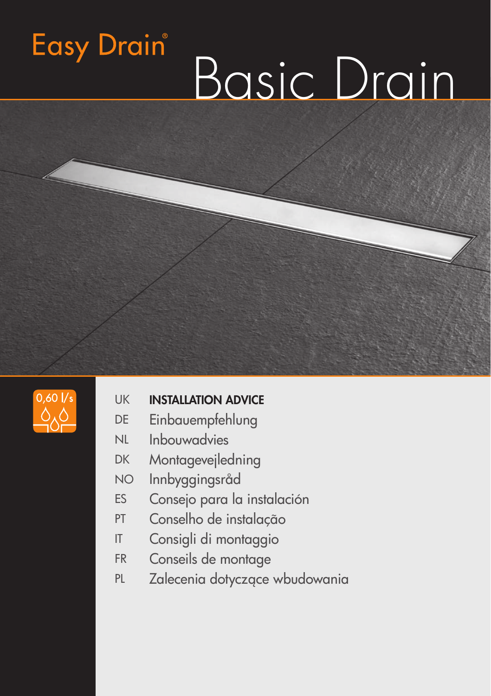# Basic Drain



**Easy Drain** 

## UK **INSTALLATION ADVICE**

- DE Einbauempfehlung
- NL Inbouwadvies
- DK Montagevejledning
- NO Innbyggingsråd
- ES Consejo para la instalación
- PT Conselho de instalação
- IT Consigli di montaggio
- FR Conseils de montage
- PL Zalecenia dotyczące wbudowania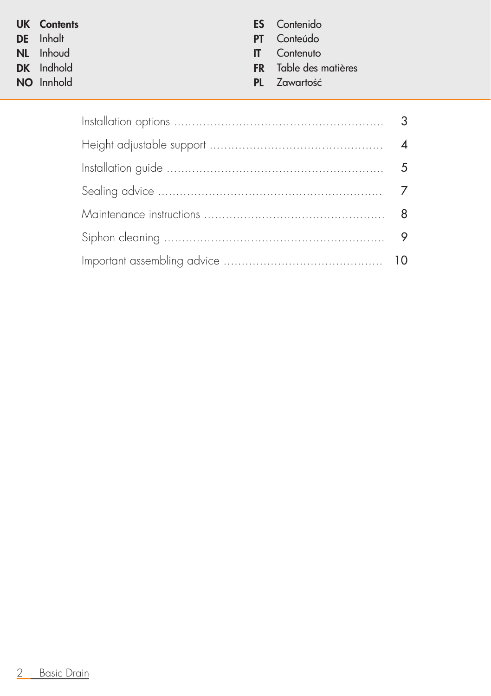| <b>UK</b> Contents | <b>ES</b> Contenido |
|--------------------|---------------------|
| <b>DE</b> Inhalt   | <b>PT</b> Conteúdo  |

- 
- **NL** Inhoud<br>**DK** Indhold
- NO Innhold PL Zawartość en przez podpiednie podpiednie podpiednie podpiednie podpiednie podpiednie podpiednie p<br>Plateau podpiednie podpiednie podpiednie podpiednie podpiednie podpiednie podpiednie podpiednie podpiednie pod

- **PT** Conteúdo<br>**IT** Contenuto
- 
- FR Table des matières<br>PL Zawartość
- 

| $\overline{4}$ |
|----------------|
|                |
|                |
|                |
|                |
|                |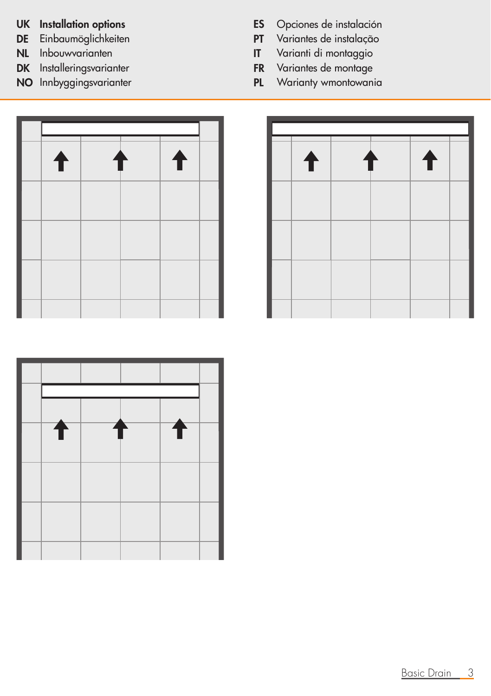- 
- 
- DK Installeringsvarianter FR Variantes de montage
- 
- UK Installation options<br>
DE Einbaumöglichkeiten<br>
PT Variantes de instalação
- DE Einbaumöglichkeiten PT Variantes de instalação
- NL Inbouwvarianten IT Varianti di montaggio
	-
- NO Innbyggingsvarianter **PL Warianty wmontowania**





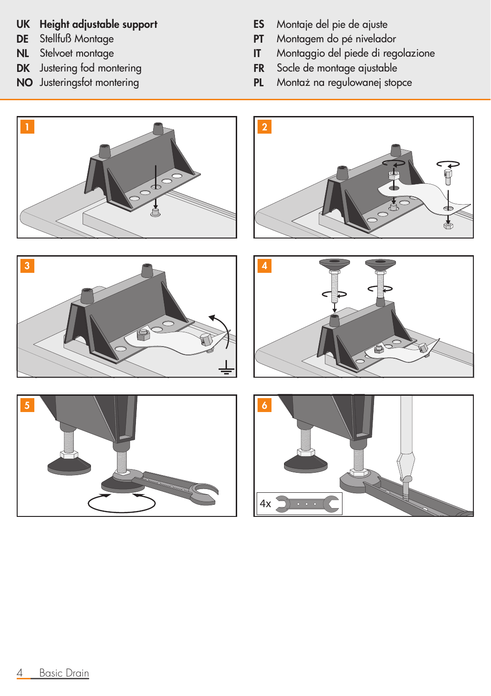## UK Height adjustable support ES Montaje del pie de ajuste

- 
- 
- 
- 
- 
- **DE** Stellfuß Montage<br> **DE** Stellfuß Montage<br> **NL** Stelvoet montage<br> **NL** Stelvoet montage
- NL Stelvoet montage IT Montaggio del piede di regolazione
- **DK** Justering fod montering **FR** Socle de montage ajustable<br>**NO** Justeringsfot montering **FL** Montaż na regulowanej stop
	- PL Montaż na regulowanej stopce

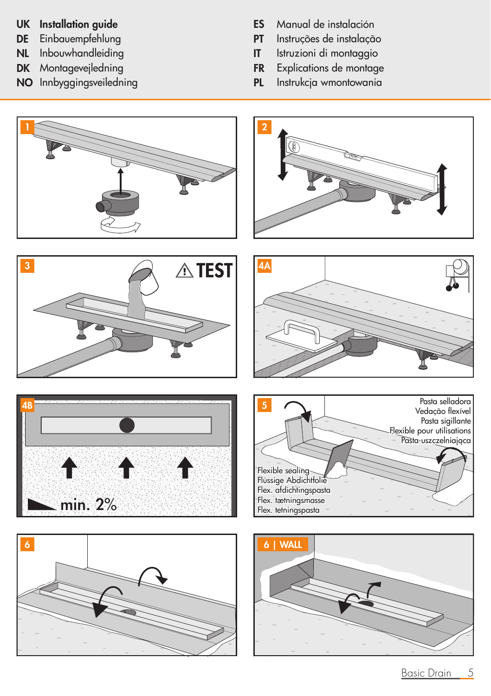- 
- 
- 
- 
- NO Innbyggingsveiledning PL
- UK Installation guide ES Manual de instalación
- DE Einbauempfehlung PT Instruções de instalação
- NL Inbouwhandleiding IT Istruzioni di montaggio
- **DK** Montagevejledning<br> **NO** Innbyggingsveiledning<br> **NO** Innbyggingsveiledning<br> **PL** Instrukcja wmontowania
	-

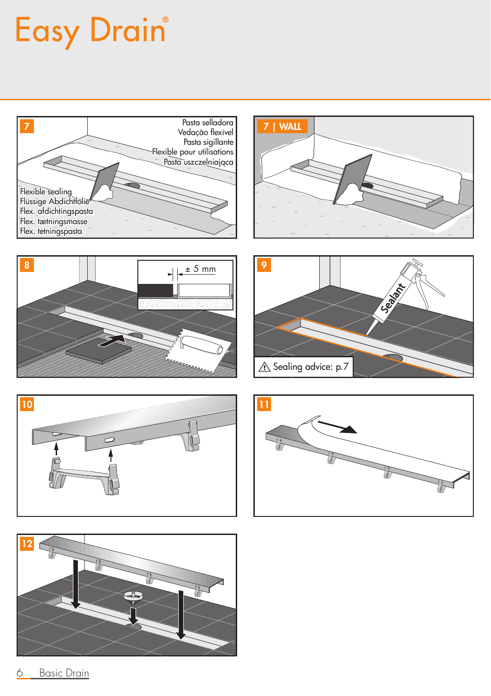## Easy Drain®







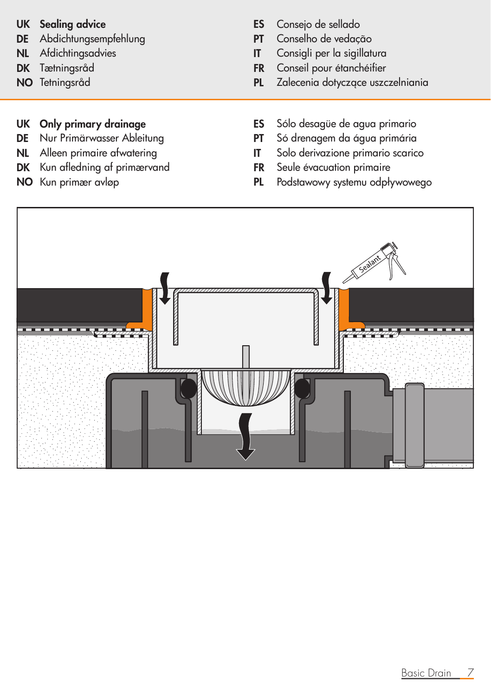- DE Abdichtungsempfehlung PT Conselho de vedação
- 
- 
- 

- 
- 
- DK Kun afledning af primærvand FR
- 
- UK Sealing advice **ES** Consejo de sellado
	-
- NL Afdichtingsadvies **IT** Consigli per la sigillatura
- DK Tætningsråd FR Conseil pour étanchéifier
- NO Tetningsråd PL Zalecenia dotyczące uszczelniania
- UK Only primary drainage **ES** Sólo desagüe de agua primario
- DE Nur Primärwasser Ableitung PT Só drenagem da água primária
- NL Alleen primaire afwatering<br> **DK** Kun afledning af primærvand<br> **IT** Solo derivazione primarie primarie
	-
- NO Kun primær avløp PL Podstawowy systemu odpływowego

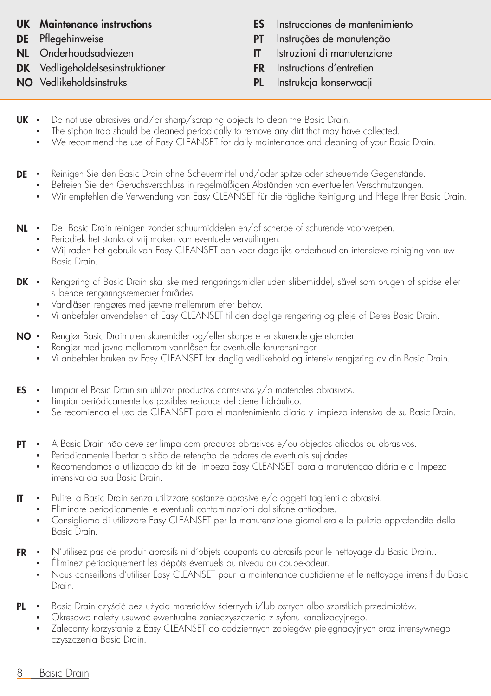- 
- 
- DK Vedligeholdelsesinstruktioner FR Instructions d'entretien
- 
- UK Maintenance instructions ES Instrucciones de mantenimiento
- DE Pflegehinweise PT Instruções de manutenção
- NL Onderhoudsadviezen IT Istruzioni di manutenzione
	-
- NO Vedlikeholdsinstruks PL Instrukcja konserwacji
- UK ▪ Do not use abrasives and/or sharp/scraping objects to clean the Basic Drain.
	- The siphon trap should be cleaned periodically to remove any dirt that may have collected.
	- We recommend the use of Easy CLEANSET for daily maintenance and cleaning of your Basic Drain.
- $DF \cdot$ ▪ Reinigen Sie den Basic Drain ohne Scheuermittel und/oder spitze oder scheuernde Gegenstände.
	- Befreien Sie den Geruchsverschluss in regelmäßigen Abständen von eventuellen Verschmutzungen.
	- Wir empfehlen die Verwendung von Easy CLEANSET für die tägliche Reinigung und Pflege Ihrer Basic Drain.
- NL De Basic Drain reinigen zonder schuurmiddelen en/of scherpe of schurende voorwerpen.
	- Periodiek het stankslot vrij maken van eventuele vervuilingen.
	- Wij raden het gebruik van Easy CLEANSET aan voor dagelijks onderhoud en intensieve reiniging van uw Basic Drain.
- DK · ▪ Rengøring af Basic Drain skal ske med rengøringsmidler uden slibemiddel, såvel som brugen af spidse eller slibende rengøringsremedier frarådes.
	- Vandlåsen rengøres med jævne mellemrum efter behov.
	- Vi anbefaler anvendelsen af Easy CLEANSET til den daglige rengøring og pleje af Deres Basic Drain.
- $NO +$ ▪ Rengjør Basic Drain uten skuremidler og/eller skarpe eller skurende gjenstander.
	- Rengjør med jevne mellomrom vannlåsen for eventuelle forurensninger.
	- Vi anbefaler bruken av Easy CLEANSET for daglig vedlikehold og intensiv rengjøring av din Basic Drain.
- ES ▪ Limpiar el Basic Drain sin utilizar productos corrosivos y/o materiales abrasivos.
	- Limpiar periódicamente los posibles residuos del cierre hidráulico.
	- Se recomienda el uso de CLEANSET para el mantenimiento diario y limpieza intensiva de su Basic Drain.
- PT ▪ A Basic Drain não deve ser limpa com produtos abrasivos e/ou objectos afiados ou abrasivos.
	- Periodicamente libertar o sifão de retenção de odores de eventuais sujidades.
	- Recomendamos a utilização do kit de limpeza Easy CLEANSET para a manutenção diária e a limpeza intensiva da sua Basic Drain.
- IT ▪ Pulire la Basic Drain senza utilizzare sostanze abrasive e/o oggetti taglienti o abrasivi.
	- Eliminare periodicamente le eventuali contaminazioni dal sifone antiodore.
	- Consigliamo di utilizzare Easy CLEANSET per la manutenzione giornaliera e la pulizia approfondita della Basic Drain.
- FR ▪ N'utilisez pas de produit abrasifs ni d'objets coupants ou abrasifs pour le nettoyage du Basic Drain...
	- Éliminez périodiquement les dépôts éventuels au niveau du coupe-odeur. ▪ Nous conseillons d'utiliser Easy CLEANSET pour la maintenance quotidienne et le nettoyage intensif du Basic
- PL ▪ Basic Drain czyścić bez użycia materiałów ściernych i/lub ostrych albo szorstkich przedmiotów.
	- Okresowo należy usuwać ewentualne zanieczyszczenia z syfonu kanalizacyjnego.
	- Zalecamy korzystanie z Easy CLEANSET do codziennych zabiegów pielęgnacyjnych oraz intensywnego czyszczenia Basic Drain.
- 8 Basic Drain

Drain.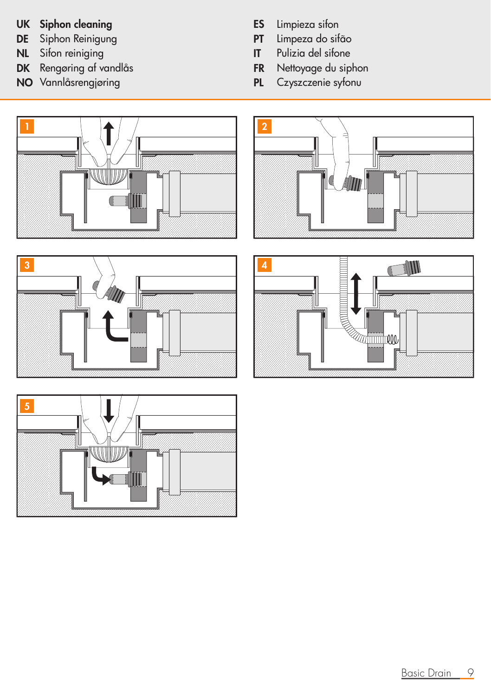## UK Siphon cleaning<br>
DE Siphon Reinigung<br>
DE Siphon Reinigung<br>
PT Limpeza do sifão

- 
- Sifon reiniging IT Pulizia del sito anche in un altre un pubblica del sito anche in un altre un altre un altre
- DK Rengøring af vandlås FR Nettoyage du siphon
- NO Vannlåsrengjøring PL
- 
- **DE** Siphon Reinigung **PT** Limpeza do sifão<br> **NL** Sifon reiniging **PT** Pulizia del sifone
	-
	-
	-









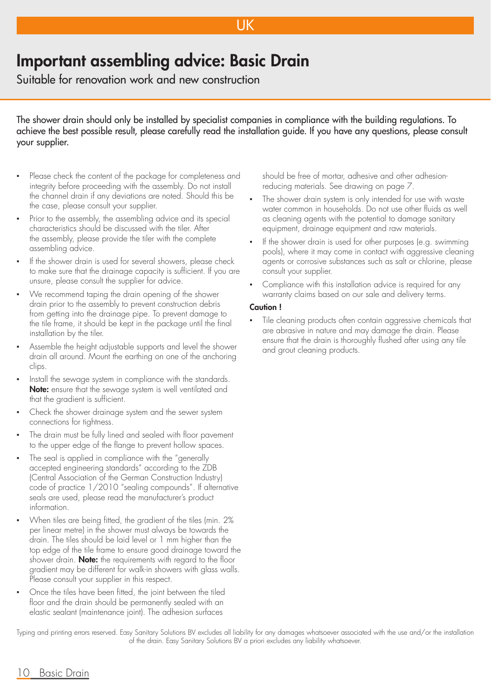### UK

## Important assembling advice: Basic Drain

Suitable for renovation work and new construction

The shower drain should only be installed by specialist companies in compliance with the building regulations. To achieve the best possible result, please carefully read the installation guide. If you have any questions, please consult your supplier.

- Please check the content of the package for completeness and integrity before proceeding with the assembly. Do not install the channel drain if any deviations are noted. Should this be the case, please consult your supplier.
- Prior to the assembly, the assembling advice and its special characteristics should be discussed with the tiler. After the assembly, please provide the tiler with the complete assembling advice.
- If the shower drain is used for several showers, please check to make sure that the drainage capacity is sufficient. If you are unsure, please consult the supplier for advice.
- We recommend taping the drain opening of the shower drain prior to the assembly to prevent construction debris from getting into the drainage pipe. To prevent damage to the tile frame, it should be kept in the package until the final installation by the tiler.
- Assemble the height adjustable supports and level the shower drain all around. Mount the earthing on one of the anchoring clips.
- Install the sewage system in compliance with the standards. Note: ensure that the sewage system is well ventilated and that the gradient is sufficient.
- Check the shower drainage system and the sewer system connections for tightness.
- The drain must be fully lined and sealed with floor pavement to the upper edge of the flange to prevent hollow spaces.
- The seal is applied in compliance with the "generally accepted engineering standards" according to the ZDB (Central Association of the German Construction Industry) code of practice 1/2010 "sealing compounds". If alternative seals are used, please read the manufacturer's product information.
- When tiles are being fitted, the gradient of the tiles (min. 2%) per linear metre) in the shower must always be towards the drain. The tiles should be laid level or 1 mm higher than the top edge of the tile frame to ensure good drainage toward the shower drain. **Note:** the requirements with regard to the floor gradient may be different for walk-in showers with glass walls. Please consult your supplier in this respect.
- Once the tiles have been fitted, the joint between the tiled floor and the drain should be permanently sealed with an elastic sealant (maintenance joint). The adhesion surfaces

should be free of mortar, adhesive and other adhesionreducing materials. See drawing on page 7.

- The shower drain system is only intended for use with waste water common in households. Do not use other fluids as well as cleaning agents with the potential to damage sanitary equipment, drainage equipment and raw materials.
- If the shower drain is used for other purposes (e.g. swimming pools), where it may come in contact with aggressive cleaning agents or corrosive substances such as salt or chlorine, please consult your supplier.
- Compliance with this installation advice is required for any warranty claims based on our sale and delivery terms.

#### Caution !

▪ Tile cleaning products often contain aggressive chemicals that are abrasive in nature and may damage the drain. Please ensure that the drain is thoroughly flushed after using any tile and grout cleaning products.

Typing and printing errors reserved. Easy Sanitary Solutions BV excludes all liability for any damages whatsoever associated with the use and/or the installation of the drain. Easy Sanitary Solutions BV a priori excludes any liability whatsoever.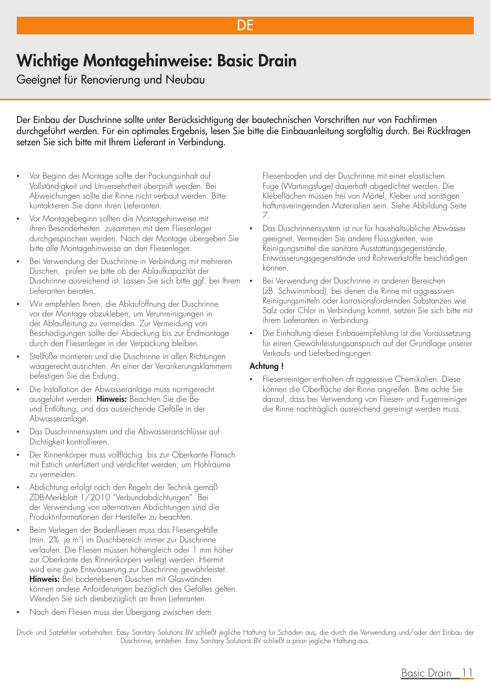## Wichtige Montagehinweise: Basic Drain

Geeignet für Renovierung und Neubau

Der Einbau der Duschrinne sollte unter Berücksichtigung der bautechnischen Vorschriften nur von Fachfirmen durchgeführt werden. Für ein optimales Ergebnis, lesen Sie bitte die Einbauanleitung sorgfältig durch. Bei Rückfragen setzen Sie sich bitte mit Ihrem Lieferant in Verbindung.

DE

- Vor Beginn der Montage sollte der Packungsinhalt auf Vollständigkeit und Unversehrtheit überprüft werden. Bei Abweichungen sollte die Rinne nicht verbaut werden. Bitte kontaktieren Sie dann ihren Lieferanten.
- Vor Montagebeginn sollten die Montagehinweise mit ihren Besonderheiten zusammen mit dem Fliesenleger durchgesprochen werden. Nach der Montage übergeben Sie bitte alle Montagehinweise an den Fliesenleger.
- Bei Verwendung der Duschrinne in Verbindung mit mehreren Duschen, prüfen sie bitte ob der Ablaufkapazität der Duschrinne ausreichend ist. Lassen Sie sich bitte ggf. bei Ihrem Lieferanten beraten.
- Wir empfehlen Ihnen, die Ablauföffnung der Duschrinne vor der Montage abzukleben, um Verunreinigungen in der Ablaufleitung zu vermeiden. Zur Vermeidung von Beschädigungen sollte der Abdeckung bis zur Endmontage durch den Fliesenleger in der Verpackung bleiben.
- Stellfüße montieren und die Duschrinne in allen Richtungen waagerecht ausrichten. An einer der Verankerungsklammern befestigen Sie die Erdung.
- Die Installation der Abwasseranlage muss normgerecht ausgeführt werden. Hinweis: Beachten Sie die Beund Entlüftung, und das ausreichende Gefälle in der Abwasseranlage.
- Das Duschrinnensystem und die Abwasseranschlüsse auf Dichtigkeit kontrollieren.
- Der Rinnenkörper muss vollflächig bis zur Oberkante Flansch mit Estrich unterfüttert und verdichtet werden, um Hohlräume zu vermeiden.
- Abdichtung erfolgt nach den Regeln der Technik gemäß ZDB-Merkblatt 1/2010 "Verbundabdichtungen". Bei der Verwendung von alternativen Abdichtungen sind die Produktinformationen der Hersteller zu beachten.
- Beim Verlegen der Bodenfliesen muss das Fliesengefälle (min. 2% je m1) im Duschbereich immer zur Duschrinne verlaufen. Die Fliesen müssen höhengleich oder 1 mm höher zur Oberkante des Rinnenkorpers verlegt werden. Hiermit wird eine gute Entwässerung zur Duschrinne gewährleistet. Hinweis: Bei bodenebenen Duschen mit Glaswänden können andere Anforderungen bezüglich des Gefälles gelten. Wenden Sie sich diesbezüglich an Ihren Lieferanten.
- Nach dem Fliesen muss der Übergang zwischen dem

Fliesenboden und der Duschrinne mit einer elastischen Fuge (Wartungsfuge) dauerhaft abgedichtet werden. Die Klebeflächen müssen frei von Mörtel, Kleber und sonstigen haftunsveringernden Materialien sein. Siehe Abbildung Seite 7.

- Das Duschrinnensystem ist nur für haushaltsübliche Abwässer geeignet. Vermeiden Sie andere Flüssigkeiten, wie Reinigungsmittel die sanitäre Ausstattungsgegenstände, Entwässerungsgegenstände und Rohrwerkstoffe beschädigen können.
- Bei Verwendung der Duschrinne in anderen Bereichen (zB. Schwimmbad), bei denen die Rinne mit aggressiven Reinigungsmitteln oder korrosionsfördernden Substanzen wie Salz oder Chlor in Verbindung kommt, setzen Sie sich bitte mit ihrem Lieferanten in Verbindung.
- Die Einhaltung dieser Einbauempfehlung ist die Voraussetzung für einen Gewährleistungsanspruch auf der Grundlage unserer Verkaufs- und Lieferbedingungen.

#### Achtung !

Fliesenreiniger enthalten oft aggressive Chemikalien. Diese können die Oberfläche der Rinne angreifen. Bitte achte Sie darauf, dass bei Verwendung von Fliesen- und Fugenreiniger die Rinne nachträglich ausreichend gereinigt werden muss.

Druck- und Satzfehler vorbehalten. Easy Sanitary Solutions BV schließt jegliche Haftung für Schäden aus, die durch die Verwendung und/oder den Einbau der Duschrinne, entstehen. Easy Sanitary Solutions BV schließt a priori jegliche Haftung aus.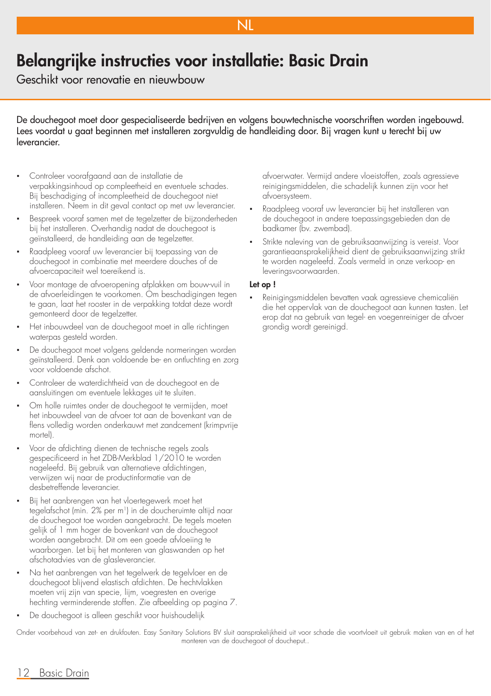## Belangrijke instructies voor installatie: Basic Drain

Geschikt voor renovatie en nieuwbouw

De douchegoot moet door gespecialiseerde bedrijven en volgens bouwtechnische voorschriften worden ingebouwd. Lees voordat u gaat beginnen met installeren zorgvuldig de handleiding door. Bij vragen kunt u terecht bij uw leverancier.

**NL** 

- Controleer voorafgaand aan de installatie de verpakkingsinhoud op compleetheid en eventuele schades. Bij beschadiging of incompleetheid de douchegoot niet installeren. Neem in dit geval contact op met uw leverancier.
- Bespreek vooraf samen met de tegelzetter de bijzonderheden bij het installeren. Overhandig nadat de douchegoot is geïnstalleerd, de handleiding aan de tegelzetter.
- Raadpleeg vooraf uw leverancier bij toepassing van de douchegoot in combinatie met meerdere douches of de afvoercapaciteit wel toereikend is.
- Voor montage de afvoeropening afplakken om bouw-vuil in de afvoerleidingen te voorkomen. Om beschadigingen tegen te gaan, laat het rooster in de verpakking totdat deze wordt gemonteerd door de tegelzetter.
- Het inbouwdeel van de douchegoot moet in alle richtingen waterpas gesteld worden.
- De douchegoot moet volgens geldende normeringen worden geïnstalleerd. Denk aan voldoende be- en ontluchting en zorg voor voldoende afschot.
- Controleer de waterdichtheid van de douchegoot en de aansluitingen om eventuele lekkages uit te sluiten.
- Om holle ruimtes onder de douchegoot te vermijden, moet het inbouwdeel van de afvoer tot aan de bovenkant van de flens volledig worden onderkauwt met zandcement (krimpvrije mortel).
- Voor de afdichting dienen de technische regels zoals gespecificeerd in het ZDB-Merkblad 1/2010 te worden nageleefd. Bij gebruik van alternatieve afdichtingen, verwijzen wij naar de productinformatie van de desbetreffende leverancier.
- Bij het aanbrengen van het vloertegewerk moet het tegelafschot (min. 2% per m1) in de doucheruimte altijd naar de douchegoot toe worden aangebracht. De tegels moeten gelijk of 1 mm hoger de bovenkant van de douchegoot worden aangebracht. Dit om een goede afvloeiing te waarborgen. Let bij het monteren van glaswanden op het afschotadvies van de glasleverancier.
- Na het aanbrengen van het tegelwerk de tegelvloer en de douchegoot blijvend elastisch afdichten. De hechtvlakken moeten vrij zijn van specie, lijm, voegresten en overige hechting verminderende stoffen. Zie afbeelding op pagina 7.
- De douchegoot is alleen geschikt voor huishoudelijk

afvoerwater. Vermijd andere vloeistoffen, zoals agressieve reinigingsmiddelen, die schadelijk kunnen zijn voor het afvoersysteem.

- Raadpleeg vooraf uw leverancier bij het installeren van de douchegoot in andere toepassingsgebieden dan de badkamer (bv. zwembad).
- Strikte naleving van de gebruiksaanwijzing is vereist. Voor garantieaansprakelijkheid dient de gebruiksaanwijzing strikt te worden nageleefd. Zoals vermeld in onze verkoop- en leveringsvoorwaarden.

#### Let op !

Reinigingsmiddelen bevatten vaak agressieve chemicaliën die het oppervlak van de douchegoot aan kunnen tasten. Let erop dat na gebruik van tegel- en voegenreiniger de afvoer grondig wordt gereinigd.

Onder voorbehoud van zet- en drukfouten. Easy Sanitary Solutions BV sluit aansprakelijkheid uit voor schade die voortvloeit uit gebruik maken van en of het monteren van de douchegoot of doucheput..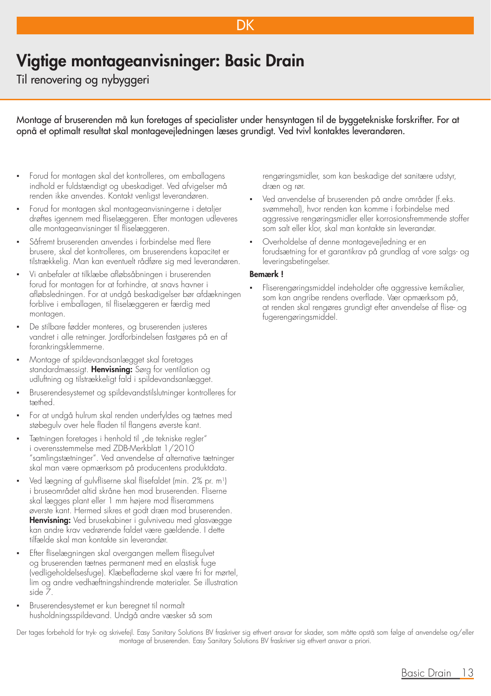## Vigtige montageanvisninger: Basic Drain

Til renovering og nybyggeri

Montage af bruserenden må kun foretages af specialister under hensyntagen til de byggetekniske forskrifter. For at opnå et optimalt resultat skal montagevejledningen læses grundigt. Ved tvivl kontaktes leverandøren.

DK

- Forud for montagen skal det kontrolleres, om emballagens indhold er fuldstændigt og ubeskadiget. Ved afvigelser må renden ikke anvendes. Kontakt venligst leverandøren.
- Forud for montagen skal montageanvisningerne i detaljer drøftes igennem med fliselæggeren. Efter montagen udleveres alle montageanvisninger til fliselæggeren.
- Såfremt bruserenden anvendes i forbindelse med flere brusere, skal det kontrolleres, om bruserendens kapacitet er tilstrækkelig. Man kan eventuelt rådføre sig med leverandøren.
- Vi anbefaler at tilklæbe afløbsåbningen i bruserenden forud for montagen for at forhindre, at snavs havner i afløbsledningen. For at undgå beskadigelser bør afdækningen forblive i emballagen, til fliselæggeren er færdig med montagen.
- De stilbare fødder monteres, og bruserenden justeres vandret i alle retninger. Jordforbindelsen fastgøres på en af forankringsklemmerne.
- Montage af spildevandsanlægget skal foretages standardmæssigt. Henvisning: Sørg for ventilation og udluftning og tilstrækkeligt fald i spildevandsanlægget.
- Bruserendesystemet og spildevandstilslutninger kontrolleres for tæthed.
- For at undgå hulrum skal renden underfyldes og tætnes med støbegulv over hele fladen til flangens øverste kant.
- Tætningen foretages i henhold til "de tekniske regler" i overensstemmelse med ZDB-Merkblatt 1/2010 "samlingstætninger". Ved anvendelse af alternative tætninger skal man være opmærksom på producentens produktdata.
- Ved lægning af gulvfliserne skal flisefaldet (min. 2% pr. m<sup>1</sup>) i bruseområdet altid skråne hen mod bruserenden. Fliserne skal lægges plant eller 1 mm højere mod fliserammens øverste kant. Hermed sikres et godt dræn mod bruserenden. Henvisning: Ved brusekabiner i gulvniveau med glasvægge kan andre krav vedrørende faldet være gældende. I dette tilfælde skal man kontakte sin leverandør.
- Efter fliselægningen skal overgangen mellem flisegulvet og bruserenden tætnes permanent med en elastisk fuge (vedligeholdelsesfuge). Klæbefladerne skal være fri for mørtel, lim og andre vedhæftningshindrende materialer. Se illustration side 7.
- Bruserendesystemet er kun beregnet til normalt husholdningsspildevand. Undgå andre væsker så som

rengøringsmidler, som kan beskadige det sanitære udstyr, dræn og rør.

- Ved anvendelse af bruserenden på andre områder (f.eks. svømmehal), hvor renden kan komme i forbindelse med aggressive rengøringsmidler eller korrosionsfremmende stoffer som salt eller klor, skal man kontakte sin leverandør.
- Overholdelse af denne montagevejledning er en forudsætning for et garantikrav på grundlag af vore salgs- og leveringsbetingelser.

#### Bemærk !

Fliserengøringsmiddel indeholder ofte aggressive kemikalier, som kan angribe rendens overflade. Vær opmærksom på, at renden skal rengøres grundigt efter anvendelse af flise- og fugerengøringsmiddel.

Der tages forbehold for tryk- og skrivefejl. Easy Sanitary Solutions BV fraskriver sig ethvert ansvar for skader, som måtte opstå som følge af anvendelse og/eller montage af bruserenden. Easy Sanitary Solutions BV fraskriver sig ethvert ansvar a priori.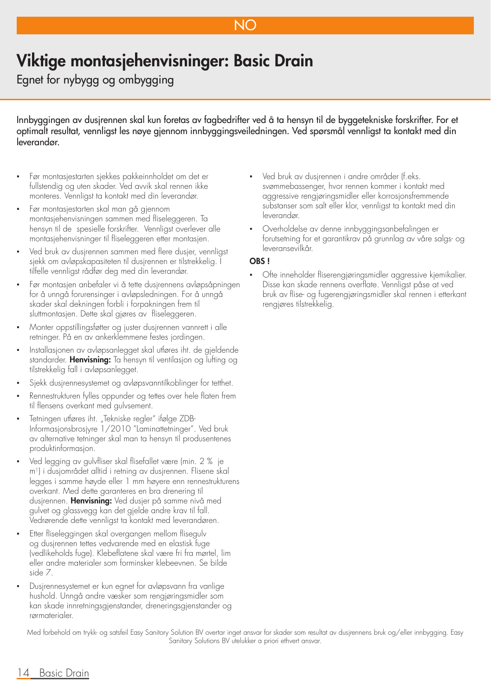### NO

## Viktige montasjehenvisninger: Basic Drain

Egnet for nybygg og ombygging

Innbyggingen av dusjrennen skal kun foretas av fagbedrifter ved å ta hensyn til de byggetekniske forskrifter. For et optimalt resultat, vennligst les nøye gjennom innbyggingsveiledningen. Ved spørsmål vennligst ta kontakt med din leverandør.

- Før montasjestarten sjekkes pakkeinnholdet om det er fullstendig og uten skader. Ved avvik skal rennen ikke monteres. Vennligst ta kontakt med din leverandør.
- Før montasjestarten skal man gå gjennom montasjehenvisningen sammen med fliseleggeren. Ta hensyn til de spesielle forskrifter. Vennligst overlever alle montasjehenvisninger til fliseleggeren etter montasjen.
- Ved bruk av dusjrennen sammen med flere dusjer, vennligst sjekk om avløpskapasiteten til dusjrennen er tilstrekkelig. I tilfelle vennligst rådfør deg med din leverandør.
- Før montasjen anbefaler vi å tette dusjrennens avløpsåpningen for å unngå forurensinger i avløpsledningen. For å unngå skader skal dekningen forbli i forpakningen frem til sluttmontasjen. Dette skal gjøres av fliseleggeren.
- Monter oppstillingsføtter og juster dusjrennen vannrett i alle retninger. På en av ankerklemmene festes jordingen.
- Installasjonen av avløpsanlegget skal utføres iht. de gjeldende standarder. Henvisning: Ta hensyn til ventilasjon og lufting og tilstrekkelig fall i avløpsanlegget.
- Sjekk dusjrennesystemet og avløpsvanntilkoblinger for tetthet.
- Rennestrukturen fylles oppunder og tettes over hele flaten frem til flensens overkant med gulvsement.
- Tetningen utføres iht. "Tekniske regler" ifølge ZDB-Informasjonsbrosjyre 1/2010 "Laminattetninger". Ved bruk av alternative tetninger skal man ta hensyn til produsentenes produktinformasjon.
- Ved legging av gulvfliser skal flisefallet være (min. 2 % je m1) i dusjområdet alltid i retning av dusjrennen. Flisene skal legges i samme høyde eller 1 mm høyere enn rennestrukturens overkant. Med dette garanteres en bra drenering til dusjrennen. Henvisning: Ved dusjer på samme nivå med gulvet og glassvegg kan det gjelde andre krav til fall. Vedrørende dette vennligst ta kontakt med leverandøren.
- Etter fliseleggingen skal overgangen mellom flisegulv og dusjrennen tettes vedvarende med en elastisk fuge (vedlikeholds fuge). Klebeflatene skal være fri fra mørtel, lim eller andre materialer som forminsker klebeevnen. Se bilde side 7.
- Dusjrennesystemet er kun egnet for avløpsvann fra vanlige hushold. Unngå andre væsker som rengjøringsmidler som kan skade innretningsgjenstander, dreneringsgjenstander og rørmaterialer.
- Ved bruk av dusjrennen i andre områder (f.eks. svømmebassenger, hvor rennen kommer i kontakt med aggressive rengjøringsmidler eller korrosjonsfremmende substanser som salt eller klor, vennligst ta kontakt med din leverandør.
- Overholdelse av denne innbyggingsanbefalingen er forutsetning for et garantikrav på grunnlag av våre salgs- og leveransevilkår.

#### OBS !

Ofte inneholder fliserengjøringsmidler aggressive kjemikalier. Disse kan skade rennens overflate. Vennligst påse at ved bruk av flise- og fugerengjøringsmidler skal rennen i etterkant rengjøres tilstrekkelig.

Med forbehold om trykk- og satsfeil Easy Sanitory Solution BV overtar inget ansvar for skader som resultat av dusjrennens bruk og/eller innbygging. Easy Sanitary Solutions BV utelukker a priori ethvert ansvar.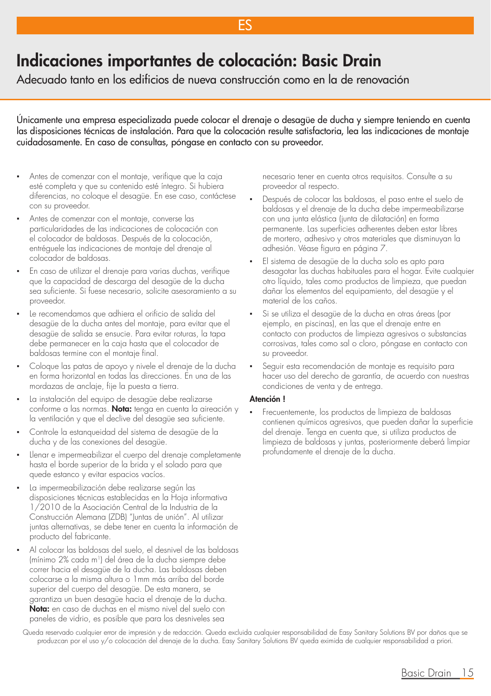## Indicaciones importantes de colocación: Basic Drain

Adecuado tanto en los edificios de nueva construcción como en la de renovación

Únicamente una empresa especializada puede colocar el drenaje o desagüe de ducha y siempre teniendo en cuenta las disposiciones técnicas de instalación. Para que la colocación resulte satisfactoria, lea las indicaciones de montaje cuidadosamente. En caso de consultas, póngase en contacto con su proveedor.

ES

- Antes de comenzar con el montaje, verifique que la caja esté completa y que su contenido esté íntegro. Si hubiera diferencias, no coloque el desagüe. En ese caso, contáctese con su proveedor.
- Antes de comenzar con el montaje, converse las particularidades de las indicaciones de colocación con el colocador de baldosas. Después de la colocación, entréguele las indicaciones de montaje del drenaje al colocador de baldosas.
- En caso de utilizar el drenaje para varias duchas, verifique que la capacidad de descarga del desagüe de la ducha sea suficiente. Si fuese necesario, solicite asesoramiento a su proveedor.
- Le recomendamos que adhiera el orificio de salida del desagüe de la ducha antes del montaje, para evitar que el desagüe de salida se ensucie. Para evitar roturas, la tapa debe permanecer en la caja hasta que el colocador de baldosas termine con el montaje final.
- Coloque las patas de apoyo y nivele el drenaje de la ducha en forma horizontal en todas las direcciones. En una de las mordazas de anclaje, fije la puesta a tierra.
- La instalación del equipo de desagüe debe realizarse conforme a las normas. Nota: tenga en cuenta la aireación y la ventilación y que el declive del desagüe sea suficiente.
- Controle la estanqueidad del sistema de desagüe de la ducha y de las conexiones del desagüe.
- Llenar e impermeabilizar el cuerpo del drenaje completamente hasta el borde superior de la brida y el solado para que quede estanco y evitar espacios vacíos.
- La impermeabilización debe realizarse según las disposiciones técnicas establecidas en la Hoja informativa 1/2010 de la Asociación Central de la Industria de la Construcción Alemana (ZDB) "Juntas de unión". Al utilizar juntas alternativas, se debe tener en cuenta la información de producto del fabricante.
- Al colocar las baldosas del suelo, el desnivel de las baldosas (mínimo 2% cada m1) del área de la ducha siempre debe correr hacia el desagüe de la ducha. Las baldosas deben colocarse a la misma altura o 1mm más arriba del borde superior del cuerpo del desagüe. De esta manera, se garantiza un buen desagüe hacia el drenaje de la ducha. Nota: en caso de duchas en el mismo nivel del suelo con paneles de vidrio, es posible que para los desniveles sea

necesario tener en cuenta otros requisitos. Consulte a su proveedor al respecto.

- Después de colocar las baldosas, el paso entre el suelo de baldosas y el drenaje de la ducha debe impermeabilizarse con una junta elástica (junta de dilatación) en forma permanente. Las superficies adherentes deben estar libres de mortero, adhesivo y otros materiales que disminuyan la adhesión. Véase figura en página 7.
- El sistema de desagüe de la ducha solo es apto para desagotar las duchas habituales para el hogar. Evite cualquier otro líquido, tales como productos de limpieza, que puedan dañar los elementos del equipamiento, del desagüe y el material de los caños.
- Si se utiliza el desagüe de la ducha en otras áreas (por ejemplo, en piscinas), en las que el drenaje entre en contacto con productos de limpieza agresivos o substancias corrosivas, tales como sal o cloro, póngase en contacto con su proveedor.
- Seguir esta recomendación de montaje es requisito para hacer uso del derecho de garantía, de acuerdo con nuestras condiciones de venta y de entrega.

#### Atención !

▪ Frecuentemente, los productos de limpieza de baldosas contienen químicos agresivos, que pueden dañar la superficie del drenaje. Tenga en cuenta que, si utiliza productos de limpieza de baldosas y juntas, posteriormente deberá limpiar profundamente el drenaje de la ducha.

Queda reservado cualquier error de impresión y de redacción. Queda excluida cualquier responsabilidad de Easy Sanitary Solutions BV por daños que se produzcan por el uso y/o colocación del drenaje de la ducha. Easy Sanitary Solutions BV queda eximida de cualquier responsabilidad a priori.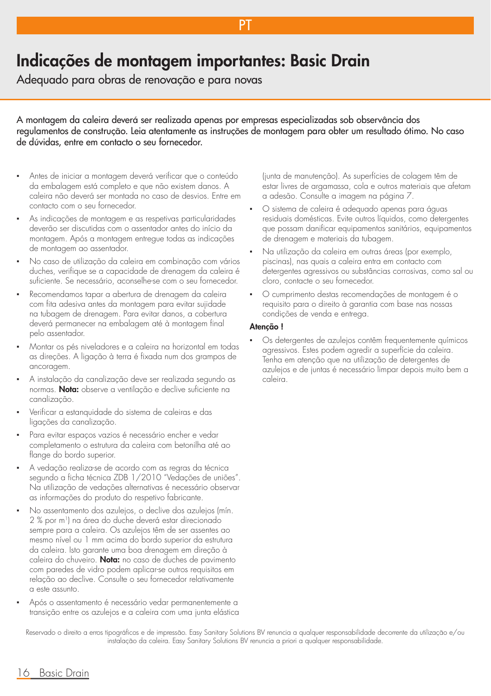## Indicações de montagem importantes: Basic Drain

Adequado para obras de renovação e para novas

A montagem da caleira deverá ser realizada apenas por empresas especializadas sob observância dos regulamentos de construção. Leia atentamente as instruções de montagem para obter um resultado ótimo. No caso de dúvidas, entre em contacto o seu fornecedor.

P<sub>1</sub>

- Antes de iniciar a montagem deverá verificar que o conteúdo da embalagem está completo e que não existem danos. A caleira não deverá ser montada no caso de desvios. Entre em contacto com o seu fornecedor.
- As indicações de montagem e as respetivas particularidades deverão ser discutidas com o assentador antes do início da montagem. Após a montagem entregue todas as indicações de montagem ao assentador.
- No caso de utilização da caleira em combinação com vários duches, verifique se a capacidade de drenagem da caleira é suficiente. Se necessário, aconselhe-se com o seu fornecedor.
- Recomendamos tapar a abertura de drenagem da caleira com fita adesiva antes da montagem para evitar sujidade na tubagem de drenagem. Para evitar danos, a cobertura deverá permanecer na embalagem até à montagem final pelo assentador.
- Montar os pés niveladores e a caleira na horizontal em todas as direções. A ligação à terra é fixada num dos grampos de ancoragem.
- A instalação da canalização deve ser realizada segundo as normas. Nota: observe a ventilação e declive suficiente na canalização.
- Verificar a estanquidade do sistema de caleiras e das ligações da canalização.
- Para evitar espaços vazios é necessário encher e vedar completamento o estrutura da caleira com betonilha até ao flange do bordo superior.
- A vedação realiza-se de acordo com as regras da técnica segundo a ficha técnica ZDB 1/2010 "Vedações de uniões". Na utilização de vedações alternativas é necessário observar as informações do produto do respetivo fabricante.
- No assentamento dos azulejos, o declive dos azulejos (mín. 2 % por m1) na área do duche deverá estar direcionado sempre para a caleira. Os azulejos têm de ser assentes ao mesmo nível ou 1 mm acima do bordo superior da estrutura da caleira. Isto garante uma boa drenagem em direção à caleira do chuveiro. Nota: no caso de duches de pavimento com paredes de vidro podem aplicar-se outros requisitos em relação ao declive. Consulte o seu fornecedor relativamente a este assunto.
- Após o assentamento é necessário vedar permanentemente a transição entre os azulejos e a caleira com uma junta elástica

(junta de manutenção). As superfícies de colagem têm de estar livres de argamassa, cola e outros materiais que afetam a adesão. Consulte a imagem na página 7.

- O sistema de caleira é adequado apenas para águas residuais domésticas. Evite outros líquidos, como detergentes que possam danificar equipamentos sanitários, equipamentos de drenagem e materiais da tubagem.
- Na utilização da caleira em outras áreas (por exemplo, piscinas), nas quais a caleira entra em contacto com detergentes agressivos ou substâncias corrosivas, como sal ou cloro, contacte o seu fornecedor.
- O cumprimento destas recomendações de montagem é o requisito para o direito à garantia com base nas nossas condições de venda e entrega.

#### Atenção !

Os detergentes de azulejos contêm frequentemente químicos agressivos. Estes podem agredir a superfície da caleira. Tenha em atenção que na utilização de detergentes de azulejos e de juntas é necessário limpar depois muito bem a caleira.

Reservado o direito a erros tipográficos e de impressão. Easy Sanitary Solutions BV renuncia a qualquer responsabilidade decorrente da utilização e/ou instalação da caleira. Easy Sanitary Solutions BV renuncia a priori a qualquer responsabilidade.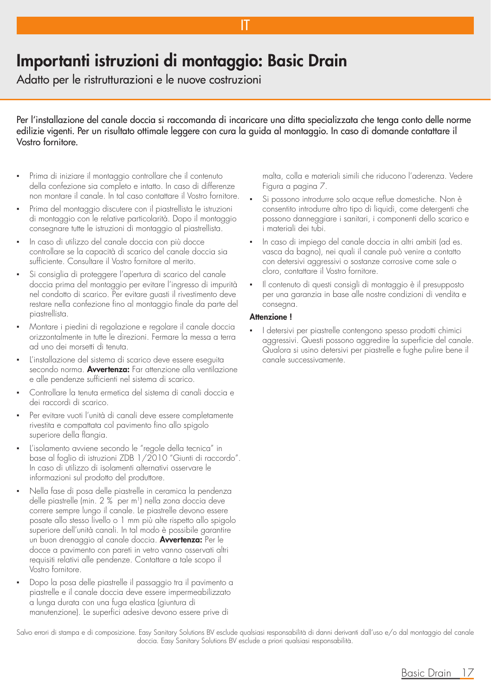## Importanti istruzioni di montaggio: Basic Drain

Adatto per le ristrutturazioni e le nuove costruzioni

Per l'installazione del canale doccia si raccomanda di incaricare una ditta specializzata che tenga conto delle norme edilizie vigenti. Per un risultato ottimale leggere con cura la guida al montaggio. In caso di domande contattare il Vostro fornitore.

IT

- Prima di iniziare il montaggio controllare che il contenuto della confezione sia completo e intatto. In caso di differenze non montare il canale. In tal caso contattare il Vostro fornitore.
- Prima del montaggio discutere con il piastrellista le istruzioni di montaggio con le relative particolarità. Dopo il montaggio consegnare tutte le istruzioni di montaggio al piastrellista.
- In caso di utilizzo del canale doccia con più docce controllare se la capacità di scarico del canale doccia sia sufficiente. Consultare il Vostro fornitore al merito.
- Si consiglia di proteggere l'apertura di scarico del canale doccia prima del montaggio per evitare l'ingresso di impurità nel condotto di scarico. Per evitare guasti il rivestimento deve restare nella confezione fino al montaggio finale da parte del piastrellista.
- Montare i piedini di regolazione e regolare il canale doccia orizzontalmente in tutte le direzioni. Fermare la messa a terra ad uno dei morsetti di tenuta.
- L'installazione del sistema di scarico deve essere eseguita secondo norma. Avvertenza: Far attenzione alla ventilazione e alle pendenze sufficienti nel sistema di scarico.
- Controllare la tenuta ermetica del sistema di canali doccia e dei raccordi di scarico.
- Per evitare vuoti l'unità di canali deve essere completamente rivestita e compattata col pavimento fino allo spigolo superiore della flangia.
- L'isolamento avviene secondo le "regole della tecnica" in base al foglio di istruzioni ZDB 1/2010 "Giunti di raccordo". In caso di utilizzo di isolamenti alternativi osservare le informazioni sul prodotto del produttore.
- Nella fase di posa delle piastrelle in ceramica la pendenza delle piastrelle (min. 2 % per m<sup>1</sup>) nella zona doccia deve correre sempre lungo il canale. Le piastrelle devono essere posate allo stesso livello o 1 mm più alte rispetto allo spigolo superiore dell'unità canali. In tal modo è possibile garantire un buon drenaggio al canale doccia. Avvertenza: Per le docce a pavimento con pareti in vetro vanno osservati altri requisiti relativi alle pendenze. Contattare a tale scopo il Vostro fornitore.
- Dopo la posa delle piastrelle il passaggio tra il pavimento a piastrelle e il canale doccia deve essere impermeabilizzato a lunga durata con una fuga elastica (giuntura di manutenzione). Le superfici adesive devono essere prive di

malta, colla e materiali simili che riducono l'aderenza. Vedere Figura a pagina 7.

- Si possono introdurre solo acque reflue domestiche. Non è consentito introdurre altro tipo di liquidi, come detergenti che possono danneggiare i sanitari, i componenti dello scarico e i materiali dei tubi.
- In caso di impiego del canale doccia in altri ambiti (ad es. vasca da bagno), nei quali il canale può venire a contatto con detersivi aggressivi o sostanze corrosive come sale o cloro, contattare il Vostro fornitore.
- Il contenuto di questi consigli di montaggio è il presupposto per una garanzia in base alle nostre condizioni di vendita e consegna.

#### Attenzione !

I detersivi per piastrelle contengono spesso prodotti chimici aggressivi. Questi possono aggredire la superficie del canale. Qualora si usino detersivi per piastrelle e fughe pulire bene il canale successivamente.

Salvo errori di stampa e di composizione. Easy Sanitary Solutions BV esclude qualsiasi responsabilità di danni derivanti dall'uso e/o dal montaggio del canale doccia. Easy Sanitary Solutions BV esclude a priori qualsiasi responsabilità.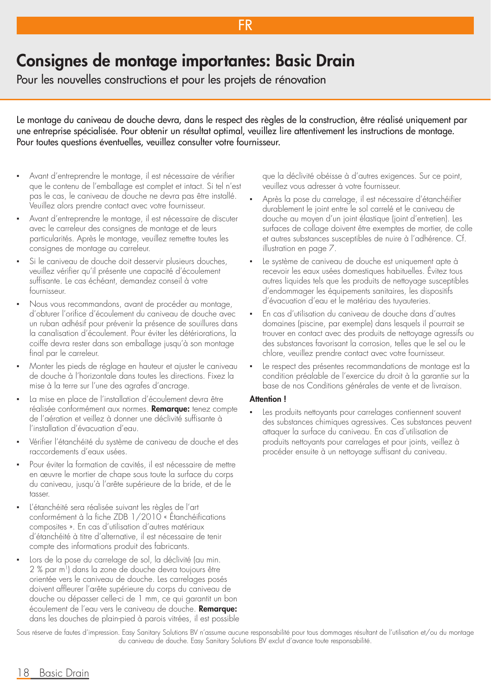## Consignes de montage importantes: Basic Drain

Pour les nouvelles constructions et pour les projets de rénovation

Le montage du caniveau de douche devra, dans le respect des règles de la construction, être réalisé uniquement par une entreprise spécialisée. Pour obtenir un résultat optimal, veuillez lire attentivement les instructions de montage. Pour toutes questions éventuelles, veuillez consulter votre fournisseur.

FR

- Avant d'entreprendre le montage, il est nécessaire de vérifier que le contenu de l'emballage est complet et intact. Si tel n'est pas le cas, le caniveau de douche ne devra pas être installé. Veuillez alors prendre contact avec votre fournisseur.
- Avant d'entreprendre le montage, il est nécessaire de discuter avec le carreleur des consignes de montage et de leurs particularités. Après le montage, veuillez remettre toutes les consignes de montage au carreleur.
- Si le caniveau de douche doit desservir plusieurs douches, veuillez vérifier qu'il présente une capacité d'écoulement suffisante. Le cas échéant, demandez conseil à votre fournisseur.
- Nous vous recommandons, avant de procéder au montage, d'obturer l'orifice d'écoulement du caniveau de douche avec un ruban adhésif pour prévenir la présence de souillures dans la canalisation d'écoulement. Pour éviter les détériorations, la coiffe devra rester dans son emballage jusqu'à son montage final par le carreleur.
- Monter les pieds de réglage en hauteur et ajuster le caniveau de douche à l'horizontale dans toutes les directions. Fixez la mise à la terre sur l'une des agrafes d'ancrage.
- La mise en place de l'installation d'écoulement devra être réalisée conformément aux normes. Remarque: tenez compte de l'aération et veillez à donner une déclivité suffisante à l'installation d'évacuation d'eau.
- Vérifier l'étanchéité du système de caniveau de douche et des raccordements d'eaux usées.
- Pour éviter la formation de cavités, il est nécessaire de mettre en œuvre le mortier de chape sous toute la surface du corps du caniveau, jusqu'à l'arête supérieure de la bride, et de le tasser.
- L'étanchéité sera réalisée suivant les règles de l'art conformément à la fiche ZDB 1/2010 « Étanchéifications composites ». En cas d'utilisation d'autres matériaux d'étanchéité à titre d'alternative, il est nécessaire de tenir compte des informations produit des fabricants.
- Lors de la pose du carrelage de sol, la déclivité (au min. 2 % par m1) dans la zone de douche devra toujours être orientée vers le caniveau de douche. Les carrelages posés doivent affleurer l'arête supérieure du corps du caniveau de douche ou dépasser celle-ci de 1 mm, ce qui garantit un bon écoulement de l'eau vers le caniveau de douche. Remarque: dans les douches de plain-pied à parois vitrées, il est possible

que la déclivité obéisse à d'autres exigences. Sur ce point, veuillez vous adresser à votre fournisseur.

- Après la pose du carrelage, il est nécessaire d'étanchéifier durablement le joint entre le sol carrelé et le caniveau de douche au moyen d'un joint élastique (joint d'entretien). Les surfaces de collage doivent être exemptes de mortier, de colle et autres substances susceptibles de nuire à l'adhérence. Cf. illustration en page 7.
- Le système de caniveau de douche est uniquement apte à recevoir les eaux usées domestiques habituelles. Évitez tous autres liquides tels que les produits de nettoyage susceptibles d'endommager les équipements sanitaires, les dispositifs d'évacuation d'eau et le matériau des tuyauteries.
- En cas d'utilisation du caniveau de douche dans d'autres domaines (piscine, par exemple) dans lesquels il pourrait se trouver en contact avec des produits de nettoyage agressifs ou des substances favorisant la corrosion, telles que le sel ou le chlore, veuillez prendre contact avec votre fournisseur.
- Le respect des présentes recommandations de montage est la condition préalable de l'exercice du droit à la garantie sur la base de nos Conditions générales de vente et de livraison.

#### Attention !

Les produits nettoyants pour carrelages contiennent souvent des substances chimiques agressives. Ces substances peuvent attaquer la surface du caniveau. En cas d'utilisation de produits nettoyants pour carrelages et pour joints, veillez à procéder ensuite à un nettoyage suffisant du caniveau.

Sous réserve de fautes d'impression. Easy Sanitary Solutions BV n'assume aucune responsabilité pour tous dommages résultant de l'utilisation et/ou du montage du caniveau de douche. Easy Sanitary Solutions BV exclut d'avance toute responsabilité.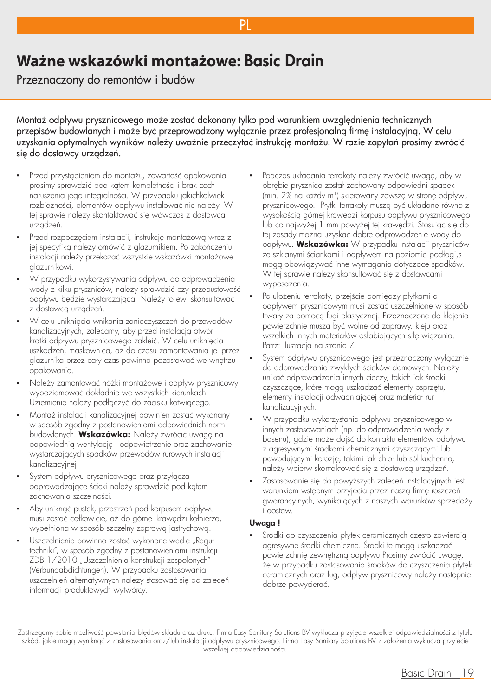## **Ważne wskazówki montażowe:** Basic Drain

Przeznaczony do remontów i budów

Montaż odpływu prysznicowego może zostać dokonany tylko pod warunkiem uwzględnienia technicznych przepisów budowlanych i może być przeprowadzony wyłącznie przez profesjonalną firmę instalacyjną. W celu uzyskania optymalnych wyników należy uważnie przeczytać instrukcję montażu. W razie zapytań prosimy zwrócić się do dostawcy urządzeń.

**PI** 

- Przed przystąpieniem do montażu, zawartość opakowania prosimy sprawdzić pod kątem kompletności i brak cech naruszenia jego integralności. W przypadku jakichkolwiek rozbieżności, elementów odpływu instalować nie należy. W tej sprawie należy skontaktować się wówczas z dostawcą urządzeń.
- Przed rozpoczęciem instalacji, instrukcję montażową wraz z jej specyfiką należy omówić z glazurnikiem. Po zakończeniu instalacji należy przekazać wszystkie wskazówki montażowe glazurnikowi.
- W przypadku wykorzystywania odpływu do odprowadzenia wody z kilku pryszniców, należy sprawdzić czy przepustowość odpływu będzie wystarczająca. Należy to ew. skonsultować z dostawcą urządzeń.
- W celu uniknięcia wnikania zanieczyszczeń do przewodów kanalizacyjnych, zalecamy, aby przed instalacją otwór kratki odpływu prysznicowego zakleić. W celu uniknięcia uszkodzeń, maskownica, aż do czasu zamontowania jej przez glazurnika przez cały czas powinna pozostawać we wnętrzu opakowania.
- Należy zamontować nóżki montażowe i odpływ prysznicowy wypoziomować dokładnie we wszystkich kierunkach. Uziemienie należy podłączyć do zacisku kotwiącego.
- Montaż instalacji kanalizacyjnej powinien zostać wykonany w sposób zgodny z postanowieniami odpowiednich norm budowlanych. **Wskazówka:** Należy zwrócić uwagę na odpowiednią wentylację i odpowietrzenie oraz zachowanie wystarczających spadków przewodów rurowych instalacji kanalizacyjnej.
- System odpływu prysznicowego oraz przyłącza odprowadzające ścieki należy sprawdzić pod kątem zachowania szczelności.
- Aby uniknąć pustek, przestrzeń pod korpusem odpływu musi zostać całkowicie, aż do górnej krawędzi kołnierza, wypełniona w sposób szczelny zaprawą jastrychową.
- Uszczelnienie powinno zostać wykonane wedle "Reguł techniki", w sposób zgodny z postanowieniami instrukcji ZDB 1/2010 "Uszczelnienia konstrukcji zespolonych" (Verbundabdichtungen). W przypadku zastosowania uszczelnień alternatywnych należy stosować się do zaleceń informacji produktowych wytwórcy.
- Podczas układania terrakoty należy zwrócić uwagę, aby w obrębie prysznica został zachowany odpowiedni spadek (min. 2% na każdy m<sup>1</sup>) skierowany zawszę w stronę odpływu prysznicowego. Płytki terrakoty muszą być układane równo z wysokością górnej krawędzi korpusu odpływu prysznicowego lub co najwyżej 1 mm powyżej tej krawędzi. Stosując się do tej zasady można uzyskać dobre odprowadzenie wody do odpływu. **Wskazówka:** W przypadku instalacji pryszniców ze szklanymi ściankami i odpływem na poziomie podłogi,s mogą obowiązywać inne wymagania dotyczące spadków. W tej sprawie należy skonsultować się z dostawcami wyposażenia.
- Po ułożeniu terrakoty, przejście pomiędzy płytkami a odpływem prysznicowym musi zostać uszczelnione w sposób trwały za pomocą fugi elastycznej. Przeznaczone do klejenia powierzchnie muszą być wolne od zaprawy, kleju oraz wszelkich innych materiałów osłabiających siłę wiązania. Patrz: ilustracja na stronie 7.
- System odpływu prysznicowego jest przeznaczony wyłącznie do odprowadzania zwykłych ścieków domowych. Należy unikać odprowadzania innych cieczy, takich jak środki czyszczące, które mogą uszkadzać elementy osprzętu, elementy instalacji odwadniającej oraz materiał rur kanalizacyjnych.
- W przypadku wykorzystania odpływu prysznicowego w innych zastosowaniach (np. do odprowadzenia wody z basenu), gdzie może dojść do kontaktu elementów odpływu z agresywnymi środkami chemicznymi czyszczącymi lub powodującymi korozję, takimi jak chlor lub sól kuchenna, należy wpierw skontaktować się z dostawcą urządzeń.
- Zastosowanie się do powyższych zaleceń instalacyjnych jest warunkiem wstępnym przyjęcia przez naszą firmę roszczeń gwarancyjnych, wynikających z naszych warunków sprzedaży i dostaw.

#### Uwaga !

Środki do czyszczenia płytek ceramicznych często zawierają agresywne środki chemiczne. Środki te mogą uszkadzać powierzchnię zewnętrzną odpływu Prosimy zwrócić uwagę, że w przypadku zastosowania środków do czyszczenia płytek ceramicznych oraz fug, odpływ prysznicowy należy następnie dobrze powycierać.

Zastrzegamy sobie możliwość powstania błędów składu oraz druku. Firma Easy Sanitary Solutions BV wyklucza przyjęcie wszelkiej odpowiedzialności z tytułu szkód, jakie mogą wyniknąć z zastosowania oraz/lub instalacji odpływu prysznicowego. Firma Easy Sanitary Solutions BV z założenia wyklucza przyjęcie wszelkiej odpowiedzialności.